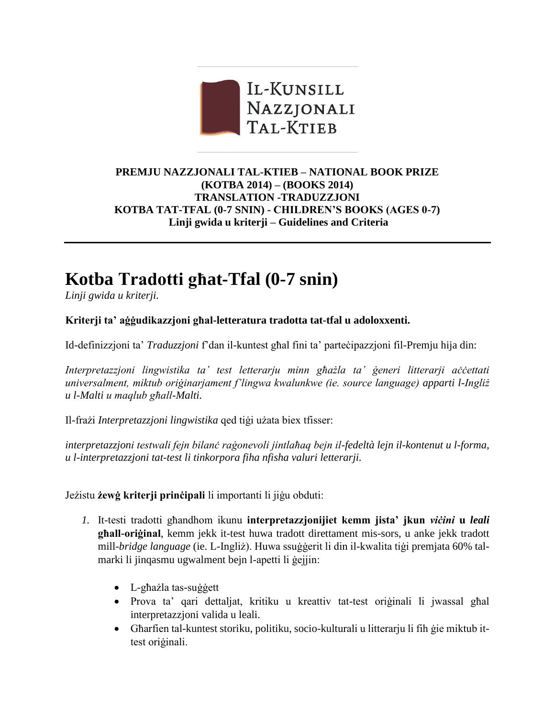

### **PREMJU NAZZJONALI TAL-KTIEB – NATIONAL BOOK PRIZE (KOTBA 2014) – (BOOKS 2014) TRANSLATION -TRADUZZJONI KOTBA TAT-TFAL (0-7 SNIN) - CHILDREN'S BOOKS (AGES 0-7) Linji gwida u kriterji – Guidelines and Criteria**

# **Kotba Tradotti għat-Tfal (0-7 snin)**

*Linji gwida u kriterji.*

### **Kriterji ta' aġġudikazzjoni għal-letteratura tradotta tat-tfal u adoloxxenti.**

Id-definizzjoni ta' *Traduzzjoni* f'dan il-kuntest għal fini ta' parteċipazzjoni fil-Premju hija din:

*Interpretazzjoni lingwistika ta' test letterarju minn għażla ta' ġeneri litterarji aċċettati universalment, miktub oriġinarjament f'lingwa kwalunkwe (ie. source language) apparti l-Ingliż u l-Malti u maqlub għall-Malti.* 

Il-frażi *Interpretazzjoni lingwistika* qed tiġi użata biex tfisser:

*interpretazzjoni testwali fejn bilanċ raġonevoli jintlaħaq bejn il-fedeltà lejn il-kontenut u l-forma, u l-interpretazzjoni tat-test li tinkorpora fiha nfisha valuri letterarji.*

Jeżistu **żewġ kriterji prinċipali** li importanti li jiġu obduti:

- *1.* It-testi tradotti għandhom ikunu **interpretazzjonijiet kemm jista' jkun** *viċini* **u** *leali* **għall-oriġinal**, kemm jekk it-test huwa tradott direttament mis-sors, u anke jekk tradott mill-*bridge language* (ie. L-Ingliż). Huwa ssuġġerit li din il-kwalita tiġi premjata 60% talmarki li jinqasmu ugwalment bejn l-apetti li ġejjin:
	- L-għażla tas-suġġett
	- Prova ta' qari dettaljat, kritiku u kreattiv tat-test oriġinali li jwassal għal interpretazzjoni valida u leali.
	- Għarfien tal-kuntest storiku, politiku, socio-kulturali u litterarju li fih ġie miktub ittest oriġinali.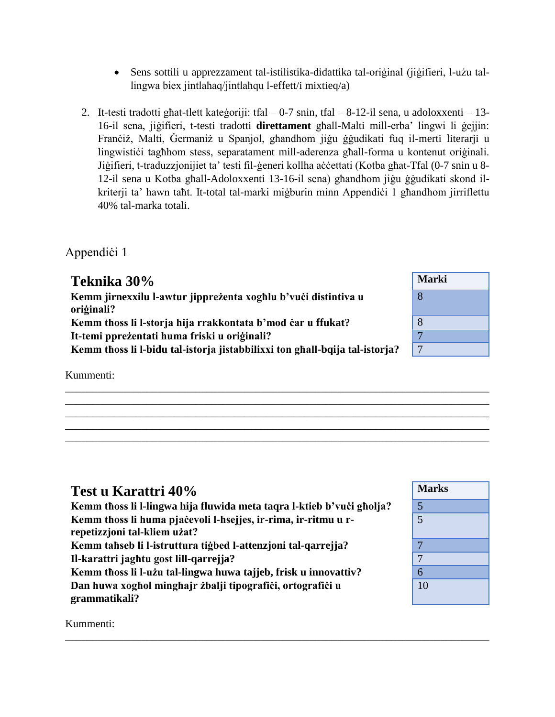- Sens sottili u apprezzament tal-istilistika-didattika tal-oriġinal (jiġifieri, l-użu tallingwa biex jintlaħaq/jintlaħqu l-effett/i mixtieq/a)
- 2. It-testi tradotti għat-tlett kateġoriji: tfal 0-7 snin, tfal 8-12-il sena, u adoloxxenti 13- 16-il sena, jiġifieri, t-testi tradotti **direttament** għall-Malti mill-erba' lingwi li ġejjin: Franċiż, Malti, Ġermaniż u Spanjol, għandhom jiġu ġġudikati fuq il-merti literarji u lingwistiċi tagħhom stess, separatament mill-aderenza għall-forma u kontenut oriġinali. Jiġifieri, t-traduzzjonijiet ta' testi fil-ġeneri kollha aċċettati (Kotba għat-Tfal (0-7 snin u 8-12-il sena u Kotba għall-Adoloxxenti 13-16-il sena) għandhom jiġu ġġudikati skond ilkriterji ta' hawn taħt. It-total tal-marki miġburin minn Appendiċi 1 għandhom jirriflettu 40% tal-marka totali.

## Appendici 1

| Teknika 30%                                                                  | <b>Marki</b> |
|------------------------------------------------------------------------------|--------------|
| Kemm jirnexxilu l-awtur jipprezenta xoghlu b'vući distintiva u<br>oriģinali? | 8            |
| Kemm thoss li l-storja hija rrakkontata b'mod čar u ffukat?                  | 8            |
| It-temi pprežentati huma friski u originali?                                 | $\mathbf{z}$ |
| Kemm thoss li l-bidu tal-istorja jistabbilixxi ton ghall-bqija tal-istorja?  | 7            |
|                                                                              |              |

\_\_\_\_\_\_\_\_\_\_\_\_\_\_\_\_\_\_\_\_\_\_\_\_\_\_\_\_\_\_\_\_\_\_\_\_\_\_\_\_\_\_\_\_\_\_\_\_\_\_\_\_\_\_\_\_\_\_\_\_\_\_\_\_\_\_\_\_\_\_\_\_\_\_\_\_\_\_ \_\_\_\_\_\_\_\_\_\_\_\_\_\_\_\_\_\_\_\_\_\_\_\_\_\_\_\_\_\_\_\_\_\_\_\_\_\_\_\_\_\_\_\_\_\_\_\_\_\_\_\_\_\_\_\_\_\_\_\_\_\_\_\_\_\_\_\_\_\_\_\_\_\_\_\_\_\_ \_\_\_\_\_\_\_\_\_\_\_\_\_\_\_\_\_\_\_\_\_\_\_\_\_\_\_\_\_\_\_\_\_\_\_\_\_\_\_\_\_\_\_\_\_\_\_\_\_\_\_\_\_\_\_\_\_\_\_\_\_\_\_\_\_\_\_\_\_\_\_\_\_\_\_\_\_\_ \_\_\_\_\_\_\_\_\_\_\_\_\_\_\_\_\_\_\_\_\_\_\_\_\_\_\_\_\_\_\_\_\_\_\_\_\_\_\_\_\_\_\_\_\_\_\_\_\_\_\_\_\_\_\_\_\_\_\_\_\_\_\_\_\_\_\_\_\_\_\_\_\_\_\_\_\_\_ \_\_\_\_\_\_\_\_\_\_\_\_\_\_\_\_\_\_\_\_\_\_\_\_\_\_\_\_\_\_\_\_\_\_\_\_\_\_\_\_\_\_\_\_\_\_\_\_\_\_\_\_\_\_\_\_\_\_\_\_\_\_\_\_\_\_\_\_\_\_\_\_\_\_\_\_\_\_

\_\_\_\_\_\_\_\_\_\_\_\_\_\_\_\_\_\_\_\_\_\_\_\_\_\_\_\_\_\_\_\_\_\_\_\_\_\_\_\_\_\_\_\_\_\_\_\_\_\_\_\_\_\_\_\_\_\_\_\_\_\_\_\_\_\_\_\_\_\_\_\_\_\_\_\_\_\_

Kummenti:

| Test u Karattri 40%                                                                            | Marks |
|------------------------------------------------------------------------------------------------|-------|
| Kemm thoss li l-lingwa hija fluwida meta taqra l-ktieb b'vuċi gholja?                          | 5     |
| Kemm thoss li huma pjačevoli l-hsejjes, ir-rima, ir-ritmu u r-<br>repetizzjoni tal-kliem użat? | 5     |
| Kemm tahseb li l-istruttura tigbed l-attenzioni tal-qarrejja?                                  |       |
| Il-karattri jaghtu gost lill-qarrejja?                                                         | 7     |
| Kemm thoss li l-użu tal-lingwa huwa tajjeb, frisk u innovattiv?                                | 6     |
| Dan huwa xoghol minghajr żbalji tipografići, ortografići u<br>grammatikali?                    | 10    |

| <b>Marks</b>    |
|-----------------|
| $\frac{5}{5}$   |
|                 |
| 7               |
| $\overline{7}$  |
| $\overline{6}$  |
| $\overline{10}$ |

Kummenti: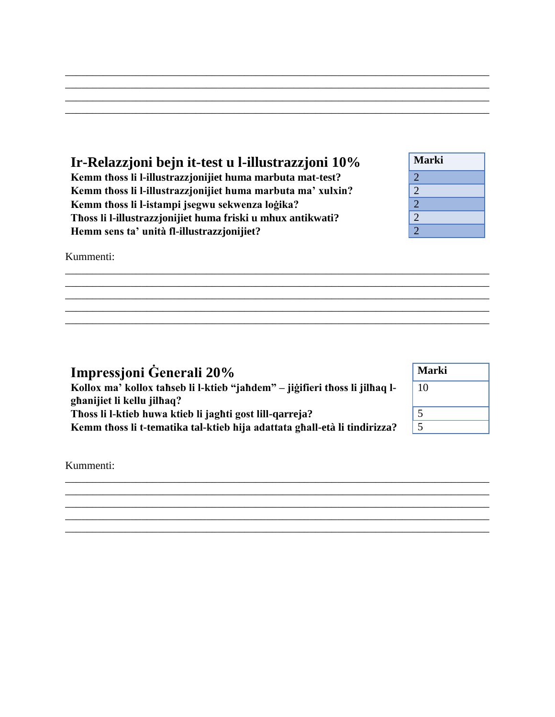### **Ir-Relazzjoni bejn it-test u l-illustrazzjoni 10% Marki Kemm tħoss li l-illustrazzjonijiet huma marbuta mat-test?** 2 **Kemm tħoss li l-illustrazzjonijiet huma marbuta ma' xulxin?** 2

\_\_\_\_\_\_\_\_\_\_\_\_\_\_\_\_\_\_\_\_\_\_\_\_\_\_\_\_\_\_\_\_\_\_\_\_\_\_\_\_\_\_\_\_\_\_\_\_\_\_\_\_\_\_\_\_\_\_\_\_\_\_\_\_\_\_\_\_\_\_\_\_\_\_\_\_\_\_ \_\_\_\_\_\_\_\_\_\_\_\_\_\_\_\_\_\_\_\_\_\_\_\_\_\_\_\_\_\_\_\_\_\_\_\_\_\_\_\_\_\_\_\_\_\_\_\_\_\_\_\_\_\_\_\_\_\_\_\_\_\_\_\_\_\_\_\_\_\_\_\_\_\_\_\_\_\_ \_\_\_\_\_\_\_\_\_\_\_\_\_\_\_\_\_\_\_\_\_\_\_\_\_\_\_\_\_\_\_\_\_\_\_\_\_\_\_\_\_\_\_\_\_\_\_\_\_\_\_\_\_\_\_\_\_\_\_\_\_\_\_\_\_\_\_\_\_\_\_\_\_\_\_\_\_\_ \_\_\_\_\_\_\_\_\_\_\_\_\_\_\_\_\_\_\_\_\_\_\_\_\_\_\_\_\_\_\_\_\_\_\_\_\_\_\_\_\_\_\_\_\_\_\_\_\_\_\_\_\_\_\_\_\_\_\_\_\_\_\_\_\_\_\_\_\_\_\_\_\_\_\_\_\_\_

\_\_\_\_\_\_\_\_\_\_\_\_\_\_\_\_\_\_\_\_\_\_\_\_\_\_\_\_\_\_\_\_\_\_\_\_\_\_\_\_\_\_\_\_\_\_\_\_\_\_\_\_\_\_\_\_\_\_\_\_\_\_\_\_\_\_\_\_\_\_\_\_\_\_\_\_\_\_ \_\_\_\_\_\_\_\_\_\_\_\_\_\_\_\_\_\_\_\_\_\_\_\_\_\_\_\_\_\_\_\_\_\_\_\_\_\_\_\_\_\_\_\_\_\_\_\_\_\_\_\_\_\_\_\_\_\_\_\_\_\_\_\_\_\_\_\_\_\_\_\_\_\_\_\_\_\_ \_\_\_\_\_\_\_\_\_\_\_\_\_\_\_\_\_\_\_\_\_\_\_\_\_\_\_\_\_\_\_\_\_\_\_\_\_\_\_\_\_\_\_\_\_\_\_\_\_\_\_\_\_\_\_\_\_\_\_\_\_\_\_\_\_\_\_\_\_\_\_\_\_\_\_\_\_\_ \_\_\_\_\_\_\_\_\_\_\_\_\_\_\_\_\_\_\_\_\_\_\_\_\_\_\_\_\_\_\_\_\_\_\_\_\_\_\_\_\_\_\_\_\_\_\_\_\_\_\_\_\_\_\_\_\_\_\_\_\_\_\_\_\_\_\_\_\_\_\_\_\_\_\_\_\_\_ \_\_\_\_\_\_\_\_\_\_\_\_\_\_\_\_\_\_\_\_\_\_\_\_\_\_\_\_\_\_\_\_\_\_\_\_\_\_\_\_\_\_\_\_\_\_\_\_\_\_\_\_\_\_\_\_\_\_\_\_\_\_\_\_\_\_\_\_\_\_\_\_\_\_\_\_\_\_

\_\_\_\_\_\_\_\_\_\_\_\_\_\_\_\_\_\_\_\_\_\_\_\_\_\_\_\_\_\_\_\_\_\_\_\_\_\_\_\_\_\_\_\_\_\_\_\_\_\_\_\_\_\_\_\_\_\_\_\_\_\_\_\_\_\_\_\_\_\_\_\_\_\_\_\_\_\_ \_\_\_\_\_\_\_\_\_\_\_\_\_\_\_\_\_\_\_\_\_\_\_\_\_\_\_\_\_\_\_\_\_\_\_\_\_\_\_\_\_\_\_\_\_\_\_\_\_\_\_\_\_\_\_\_\_\_\_\_\_\_\_\_\_\_\_\_\_\_\_\_\_\_\_\_\_\_ \_\_\_\_\_\_\_\_\_\_\_\_\_\_\_\_\_\_\_\_\_\_\_\_\_\_\_\_\_\_\_\_\_\_\_\_\_\_\_\_\_\_\_\_\_\_\_\_\_\_\_\_\_\_\_\_\_\_\_\_\_\_\_\_\_\_\_\_\_\_\_\_\_\_\_\_\_\_ \_\_\_\_\_\_\_\_\_\_\_\_\_\_\_\_\_\_\_\_\_\_\_\_\_\_\_\_\_\_\_\_\_\_\_\_\_\_\_\_\_\_\_\_\_\_\_\_\_\_\_\_\_\_\_\_\_\_\_\_\_\_\_\_\_\_\_\_\_\_\_\_\_\_\_\_\_\_ \_\_\_\_\_\_\_\_\_\_\_\_\_\_\_\_\_\_\_\_\_\_\_\_\_\_\_\_\_\_\_\_\_\_\_\_\_\_\_\_\_\_\_\_\_\_\_\_\_\_\_\_\_\_\_\_\_\_\_\_\_\_\_\_\_\_\_\_\_\_\_\_\_\_\_\_\_\_

**Kemm tħoss li l-istampi jsegwu sekwenza loġika?** 2 **Tħoss li l-illustrazzjonijiet huma friski u mhux antikwati?** 2 **Hemm sens ta' unità fl-illustrazzjonijiet?** 2



## **Impressjoni Ġenerali** 20%

**Kollox ma' kollox taħseb li l-ktieb "jaħdem" – jiġifieri tħoss li jilħaq lgħanijiet li kellu jilħaq? Tħoss li l-ktieb huwa ktieb li jagħti gost lill-qarreja?** 5

**Kemm tħoss li t-tematika tal-ktieb hija adattata għall-età li tindirizza?** 5

Kummenti:

| Marki |  |
|-------|--|
| 10    |  |
|       |  |
|       |  |

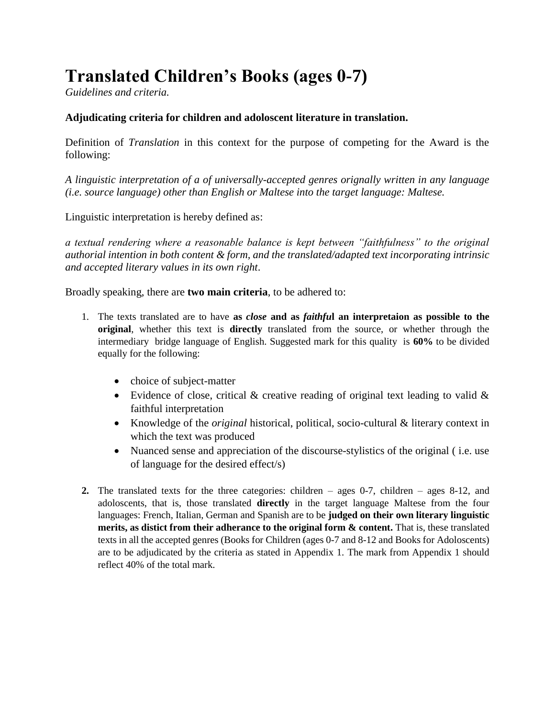# **Translated Children's Books (ages 0-7)**

*Guidelines and criteria.*

### **Adjudicating criteria for children and adoloscent literature in translation.**

Definition of *Translation* in this context for the purpose of competing for the Award is the following:

*A linguistic interpretation of a of universally-accepted genres orignally written in any language (i.e. source language) other than English or Maltese into the target language: Maltese.*

Linguistic interpretation is hereby defined as:

*a textual rendering where a reasonable balance is kept between "faithfulness" to the original authorial intention in both content & form, and the translated/adapted text incorporating intrinsic and accepted literary values in its own right*.

Broadly speaking, there are **two main criteria**, to be adhered to:

- 1. The texts translated are to have **as** *close* **and as** *faithfu***l an interpretaion as possible to the original**, whether this text is **directly** translated from the source, or whether through the intermediary bridge language of English. Suggested mark for this quality is **60%** to be divided equally for the following:
	- choice of subject-matter
	- Evidence of close, critical & creative reading of original text leading to valid & faithful interpretation
	- Knowledge of the *original* historical, political, socio-cultural & literary context in which the text was produced
	- Nuanced sense and appreciation of the discourse-stylistics of the original (i.e. use of language for the desired effect/s)
- **2.** The translated texts for the three categories: children ages 0-7, children ages 8-12, and adoloscents, that is, those translated **directly** in the target language Maltese from the four languages: French, Italian, German and Spanish are to be **judged on their own literary linguistic merits, as distict from their adherance to the original form & content.** That is, these translated texts in all the accepted genres (Books for Children (ages 0-7 and 8-12 and Books for Adoloscents) are to be adjudicated by the criteria as stated in Appendix 1. The mark from Appendix 1 should reflect 40% of the total mark.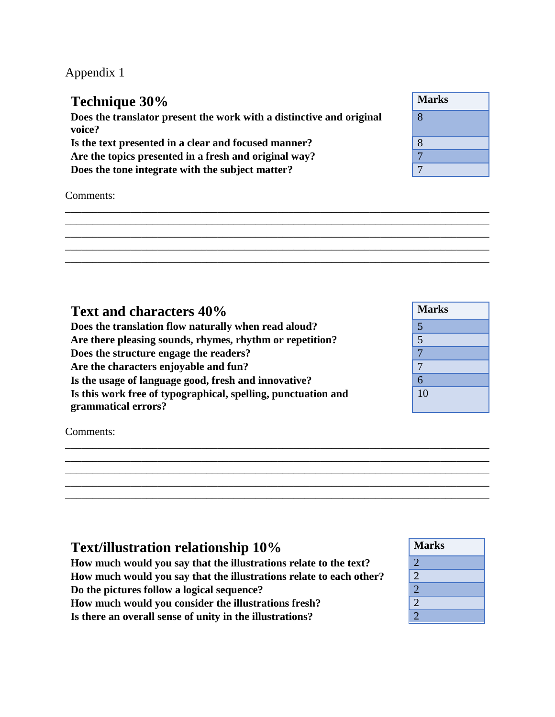Appendix 1

#### **Technique 30% Does the translator present the work with a distinctive and original voice?** 8 Is the text presented in a clear and focused manner? Are the topics presented in a fresh and original way? **Does the tone integrate with the subject matter?**

Comments:

| Text and characters 40%                                       | <b>Marks</b>             |
|---------------------------------------------------------------|--------------------------|
| Does the translation flow naturally when read aloud?          |                          |
| Are there pleasing sounds, rhymes, rhythm or repetition?      | 5                        |
| Does the structure engage the readers?                        | $\overline{\phantom{0}}$ |
| Are the characters enjoyable and fun?                         | $\mathbf{7}$             |
| Is the usage of language good, fresh and innovative?          | 6                        |
| Is this work free of typographical, spelling, punctuation and | 10                       |
| grammatical errors?                                           |                          |

\_\_\_\_\_\_\_\_\_\_\_\_\_\_\_\_\_\_\_\_\_\_\_\_\_\_\_\_\_\_\_\_\_\_\_\_\_\_\_\_\_\_\_\_\_\_\_\_\_\_\_\_\_\_\_\_\_\_\_\_\_\_\_\_\_\_\_\_\_\_\_\_\_\_\_\_\_\_ \_\_\_\_\_\_\_\_\_\_\_\_\_\_\_\_\_\_\_\_\_\_\_\_\_\_\_\_\_\_\_\_\_\_\_\_\_\_\_\_\_\_\_\_\_\_\_\_\_\_\_\_\_\_\_\_\_\_\_\_\_\_\_\_\_\_\_\_\_\_\_\_\_\_\_\_\_\_ \_\_\_\_\_\_\_\_\_\_\_\_\_\_\_\_\_\_\_\_\_\_\_\_\_\_\_\_\_\_\_\_\_\_\_\_\_\_\_\_\_\_\_\_\_\_\_\_\_\_\_\_\_\_\_\_\_\_\_\_\_\_\_\_\_\_\_\_\_\_\_\_\_\_\_\_\_\_ \_\_\_\_\_\_\_\_\_\_\_\_\_\_\_\_\_\_\_\_\_\_\_\_\_\_\_\_\_\_\_\_\_\_\_\_\_\_\_\_\_\_\_\_\_\_\_\_\_\_\_\_\_\_\_\_\_\_\_\_\_\_\_\_\_\_\_\_\_\_\_\_\_\_\_\_\_\_ \_\_\_\_\_\_\_\_\_\_\_\_\_\_\_\_\_\_\_\_\_\_\_\_\_\_\_\_\_\_\_\_\_\_\_\_\_\_\_\_\_\_\_\_\_\_\_\_\_\_\_\_\_\_\_\_\_\_\_\_\_\_\_\_\_\_\_\_\_\_\_\_\_\_\_\_\_\_

\_\_\_\_\_\_\_\_\_\_\_\_\_\_\_\_\_\_\_\_\_\_\_\_\_\_\_\_\_\_\_\_\_\_\_\_\_\_\_\_\_\_\_\_\_\_\_\_\_\_\_\_\_\_\_\_\_\_\_\_\_\_\_\_\_\_\_\_\_\_\_\_\_\_\_\_\_\_ \_\_\_\_\_\_\_\_\_\_\_\_\_\_\_\_\_\_\_\_\_\_\_\_\_\_\_\_\_\_\_\_\_\_\_\_\_\_\_\_\_\_\_\_\_\_\_\_\_\_\_\_\_\_\_\_\_\_\_\_\_\_\_\_\_\_\_\_\_\_\_\_\_\_\_\_\_\_ \_\_\_\_\_\_\_\_\_\_\_\_\_\_\_\_\_\_\_\_\_\_\_\_\_\_\_\_\_\_\_\_\_\_\_\_\_\_\_\_\_\_\_\_\_\_\_\_\_\_\_\_\_\_\_\_\_\_\_\_\_\_\_\_\_\_\_\_\_\_\_\_\_\_\_\_\_\_ \_\_\_\_\_\_\_\_\_\_\_\_\_\_\_\_\_\_\_\_\_\_\_\_\_\_\_\_\_\_\_\_\_\_\_\_\_\_\_\_\_\_\_\_\_\_\_\_\_\_\_\_\_\_\_\_\_\_\_\_\_\_\_\_\_\_\_\_\_\_\_\_\_\_\_\_\_\_ \_\_\_\_\_\_\_\_\_\_\_\_\_\_\_\_\_\_\_\_\_\_\_\_\_\_\_\_\_\_\_\_\_\_\_\_\_\_\_\_\_\_\_\_\_\_\_\_\_\_\_\_\_\_\_\_\_\_\_\_\_\_\_\_\_\_\_\_\_\_\_\_\_\_\_\_\_\_

Comments:

| <b>Text/illustration relationship 10%</b>                           | <b>Marks</b>   |
|---------------------------------------------------------------------|----------------|
| How much would you say that the illustrations relate to the text?   | $\overline{2}$ |
| How much would you say that the illustrations relate to each other? | $\overline{2}$ |
| Do the pictures follow a logical sequence?                          | $\overline{2}$ |
| How much would you consider the illustrations fresh?                | $\overline{2}$ |
| Is there an overall sense of unity in the illustrations?            | $\overline{2}$ |

| <b>Marks</b> |  |
|--------------|--|
| 8            |  |
| 8            |  |
|              |  |
|              |  |